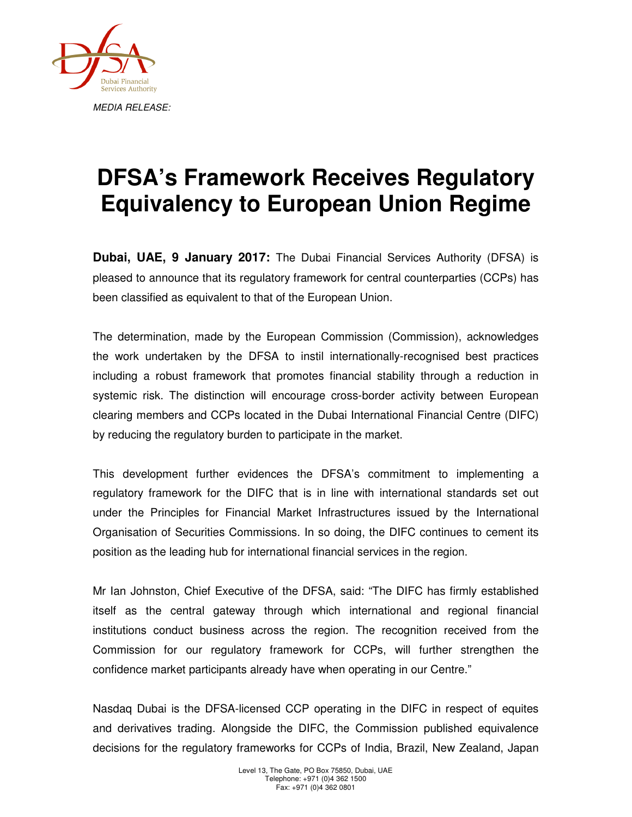

## **DFSA's Framework Receives Regulatory Equivalency to European Union Regime**

**Dubai, UAE, 9 January 2017:** The Dubai Financial Services Authority (DFSA) is pleased to announce that its regulatory framework for central counterparties (CCPs) has been classified as equivalent to that of the European Union.

The determination, made by the European Commission (Commission), acknowledges the work undertaken by the DFSA to instil internationally-recognised best practices including a robust framework that promotes financial stability through a reduction in systemic risk. The distinction will encourage cross-border activity between European clearing members and CCPs located in the Dubai International Financial Centre (DIFC) by reducing the regulatory burden to participate in the market.

This development further evidences the DFSA's commitment to implementing a regulatory framework for the DIFC that is in line with international standards set out under the Principles for Financial Market Infrastructures issued by the International Organisation of Securities Commissions. In so doing, the DIFC continues to cement its position as the leading hub for international financial services in the region.

Mr Ian Johnston, Chief Executive of the DFSA, said: "The DIFC has firmly established itself as the central gateway through which international and regional financial institutions conduct business across the region. The recognition received from the Commission for our regulatory framework for CCPs, will further strengthen the confidence market participants already have when operating in our Centre."

Nasdaq Dubai is the DFSA-licensed CCP operating in the DIFC in respect of equites and derivatives trading. Alongside the DIFC, the Commission published equivalence decisions for the regulatory frameworks for CCPs of India, Brazil, New Zealand, Japan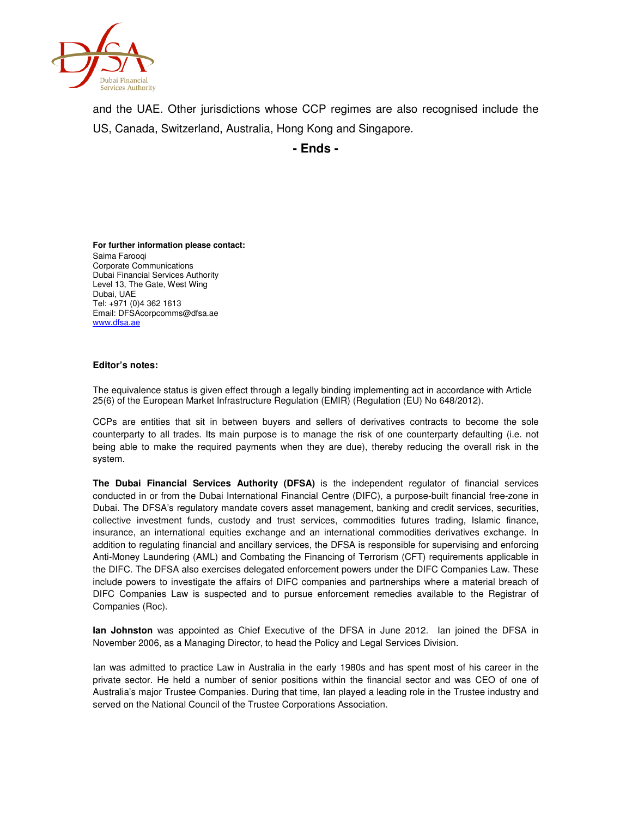

and the UAE. Other jurisdictions whose CCP regimes are also recognised include the US, Canada, Switzerland, Australia, Hong Kong and Singapore.

**- Ends -**

**For further information please contact:**  Saima Farooqi Corporate Communications Dubai Financial Services Authority Level 13, The Gate, West Wing Dubai, UAE Tel: +971 (0)4 362 1613 Email: DFSAcorpcomms@dfsa.ae www.dfsa.ae

## **Editor's notes:**

The equivalence status is given effect through a legally binding implementing act in accordance with Article 25(6) of the European Market Infrastructure Regulation (EMIR) (Regulation (EU) No 648/2012).

CCPs are entities that sit in between buyers and sellers of derivatives contracts to become the sole counterparty to all trades. Its main purpose is to manage the risk of one counterparty defaulting (i.e. not being able to make the required payments when they are due), thereby reducing the overall risk in the system.

**The Dubai Financial Services Authority (DFSA)** is the independent regulator of financial services conducted in or from the Dubai International Financial Centre (DIFC), a purpose-built financial free-zone in Dubai. The DFSA's regulatory mandate covers asset management, banking and credit services, securities, collective investment funds, custody and trust services, commodities futures trading, Islamic finance, insurance, an international equities exchange and an international commodities derivatives exchange. In addition to regulating financial and ancillary services, the DFSA is responsible for supervising and enforcing Anti-Money Laundering (AML) and Combating the Financing of Terrorism (CFT) requirements applicable in the DIFC. The DFSA also exercises delegated enforcement powers under the DIFC Companies Law. These include powers to investigate the affairs of DIFC companies and partnerships where a material breach of DIFC Companies Law is suspected and to pursue enforcement remedies available to the Registrar of Companies (Roc).

**Ian Johnston** was appointed as Chief Executive of the DFSA in June 2012. Ian joined the DFSA in November 2006, as a Managing Director, to head the Policy and Legal Services Division.

Ian was admitted to practice Law in Australia in the early 1980s and has spent most of his career in the private sector. He held a number of senior positions within the financial sector and was CEO of one of Australia's major Trustee Companies. During that time, Ian played a leading role in the Trustee industry and served on the National Council of the Trustee Corporations Association.